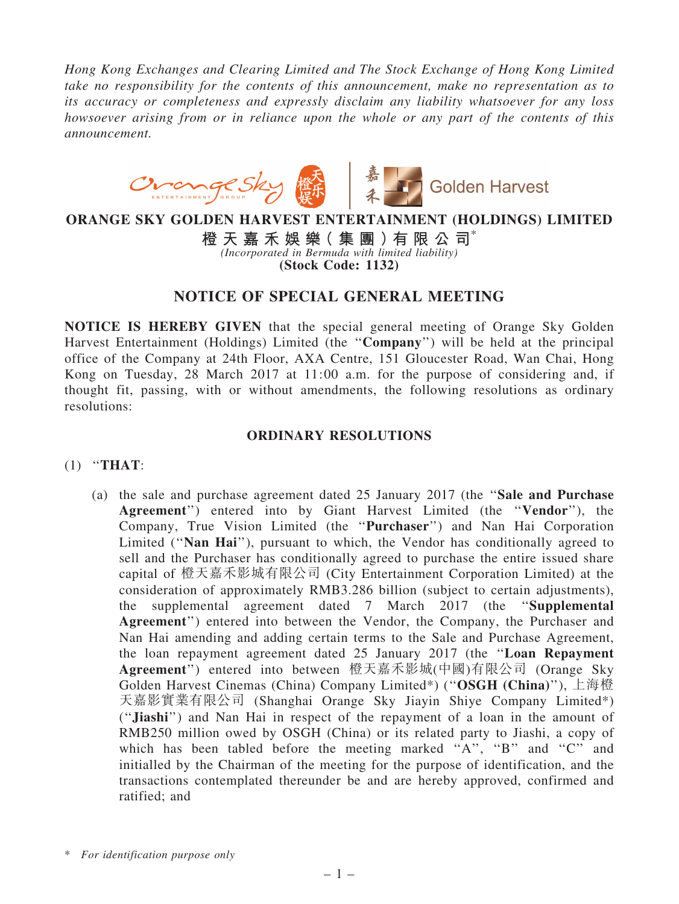*Hong Kong Exchanges and Clearing Limited and The Stock Exchange of Hong Kong Limited take no responsibility for the contents of this announcement, make no representation as to its accuracy or completeness and expressly disclaim any liability whatsoever for any loss howsoever arising from or in reliance upon the whole or any part of the contents of this announcement.*



## ORANGE SKY GOLDEN HARVEST ENTERTAINMENT (HOLDINGS) LIMITED

橙 天 嘉 禾 娛 樂 (集 團 ) 有 限 公 司 $^*$ *(Incorporated in Bermuda with limited liability)* (Stock Code: 1132)

# NOTICE OF SPECIAL GENERAL MEETING

NOTICE IS HEREBY GIVEN that the special general meeting of Orange Sky Golden Harvest Entertainment (Holdings) Limited (the ''Company'') will be held at the principal office of the Company at 24th Floor, AXA Centre, 151 Gloucester Road, Wan Chai, Hong Kong on Tuesday, 28 March 2017 at 11:00 a.m. for the purpose of considering and, if thought fit, passing, with or without amendments, the following resolutions as ordinary resolutions:

### ORDINARY RESOLUTIONS

#### (1) ''THAT:

(a) the sale and purchase agreement dated 25 January 2017 (the ''Sale and Purchase Agreement'') entered into by Giant Harvest Limited (the ''Vendor''), the Company, True Vision Limited (the ''Purchaser'') and Nan Hai Corporation Limited ("Nan Hai"), pursuant to which, the Vendor has conditionally agreed to sell and the Purchaser has conditionally agreed to purchase the entire issued share capital of 橙天嘉禾影城有限公司 (City Entertainment Corporation Limited) at the consideration of approximately RMB3.286 billion (subject to certain adjustments), the supplemental agreement dated 7 March 2017 (the ''Supplemental Agreement'') entered into between the Vendor, the Company, the Purchaser and Nan Hai amending and adding certain terms to the Sale and Purchase Agreement, the loan repayment agreement dated 25 January 2017 (the ''Loan Repayment Agreement'') entered into between 橙天嘉禾影城(中國)有限公司 (Orange Sky Golden Harvest Cinemas (China) Company Limited\*) ("OSGH (China)"), 上海橙 天嘉影實業有限公司 (Shanghai Orange Sky Jiayin Shiye Company Limited\*) (''Jiashi'') and Nan Hai in respect of the repayment of a loan in the amount of RMB250 million owed by OSGH (China) or its related party to Jiashi, a copy of which has been tabled before the meeting marked "A", "B" and "C" and initialled by the Chairman of the meeting for the purpose of identification, and the transactions contemplated thereunder be and are hereby approved, confirmed and ratified; and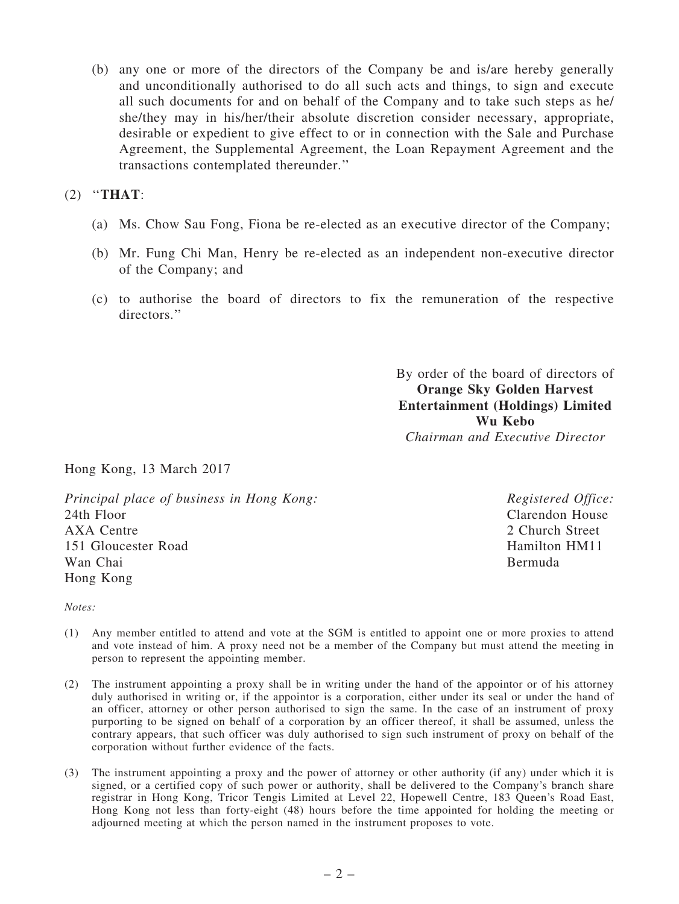(b) any one or more of the directors of the Company be and is/are hereby generally and unconditionally authorised to do all such acts and things, to sign and execute all such documents for and on behalf of the Company and to take such steps as he/ she/they may in his/her/their absolute discretion consider necessary, appropriate, desirable or expedient to give effect to or in connection with the Sale and Purchase Agreement, the Supplemental Agreement, the Loan Repayment Agreement and the transactions contemplated thereunder.''

## (2) ''THAT:

- (a) Ms. Chow Sau Fong, Fiona be re-elected as an executive director of the Company;
- (b) Mr. Fung Chi Man, Henry be re-elected as an independent non-executive director of the Company; and
- (c) to authorise the board of directors to fix the remuneration of the respective directors.''

By order of the board of directors of Orange Sky Golden Harvest Entertainment (Holdings) Limited Wu Kebo *Chairman and Executive Director*

Hong Kong, 13 March 2017

*Principal place of business in Hong Kong:* 24th Floor AXA Centre 151 Gloucester Road Wan Chai Hong Kong

*Registered Office:* Clarendon House 2 Church Street Hamilton HM11 Bermuda

*Notes:*

- (1) Any member entitled to attend and vote at the SGM is entitled to appoint one or more proxies to attend and vote instead of him. A proxy need not be a member of the Company but must attend the meeting in person to represent the appointing member.
- (2) The instrument appointing a proxy shall be in writing under the hand of the appointor or of his attorney duly authorised in writing or, if the appointor is a corporation, either under its seal or under the hand of an officer, attorney or other person authorised to sign the same. In the case of an instrument of proxy purporting to be signed on behalf of a corporation by an officer thereof, it shall be assumed, unless the contrary appears, that such officer was duly authorised to sign such instrument of proxy on behalf of the corporation without further evidence of the facts.
- (3) The instrument appointing a proxy and the power of attorney or other authority (if any) under which it is signed, or a certified copy of such power or authority, shall be delivered to the Company's branch share registrar in Hong Kong, Tricor Tengis Limited at Level 22, Hopewell Centre, 183 Queen's Road East, Hong Kong not less than forty-eight (48) hours before the time appointed for holding the meeting or adjourned meeting at which the person named in the instrument proposes to vote.